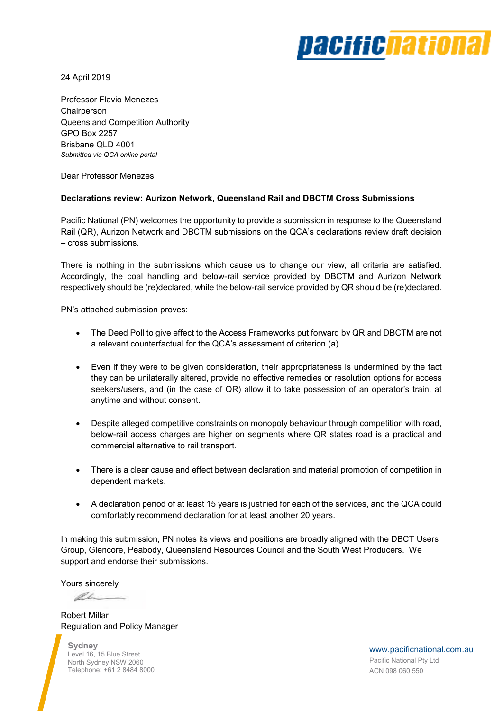# *pacifichationa*

24 April 2019

Professor Flavio Menezes **Chairperson** Queensland Competition Authority GPO Box 2257 Brisbane QLD 4001 *Submitted via QCA online portal* 

Dear Professor Menezes

#### **Declarations review: Aurizon Network, Queensland Rail and DBCTM Cross Submissions**

Pacific National (PN) welcomes the opportunity to provide a submission in response to the Queensland Rail (QR), Aurizon Network and DBCTM submissions on the QCA's declarations review draft decision – cross submissions.

There is nothing in the submissions which cause us to change our view, all criteria are satisfied. Accordingly, the coal handling and below-rail service provided by DBCTM and Aurizon Network respectively should be (re)declared, while the below-rail service provided by QR should be (re)declared.

PN's attached submission proves:

- The Deed Poll to give effect to the Access Frameworks put forward by QR and DBCTM are not a relevant counterfactual for the QCA's assessment of criterion (a).
- Even if they were to be given consideration, their appropriateness is undermined by the fact they can be unilaterally altered, provide no effective remedies or resolution options for access seekers/users, and (in the case of QR) allow it to take possession of an operator's train, at anytime and without consent.
- Despite alleged competitive constraints on monopoly behaviour through competition with road, below-rail access charges are higher on segments where QR states road is a practical and commercial alternative to rail transport.
- There is a clear cause and effect between declaration and material promotion of competition in dependent markets.
- A declaration period of at least 15 years is justified for each of the services, and the QCA could comfortably recommend declaration for at least another 20 years.

In making this submission, PN notes its views and positions are broadly aligned with the DBCT Users Group, Glencore, Peabody, Queensland Resources Council and the South West Producers. We support and endorse their submissions.

Yours sincerely

Re

Robert Millar Regulation and Policy Manager

**Sydney**  Level 16, 15 Blue Street North Sydney NSW 2060 Telephone: +61 2 8484 8000

www.pacificnational.com.au Pacific National Pty Ltd ACN 098 060 550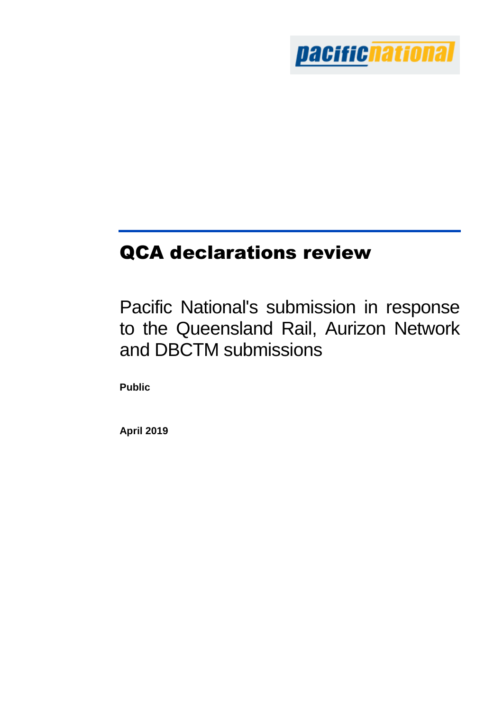

# QCA declarations review

Pacific National's submission in response to the Queensland Rail, Aurizon Network and DBCTM submissions

**Public**

**April 2019**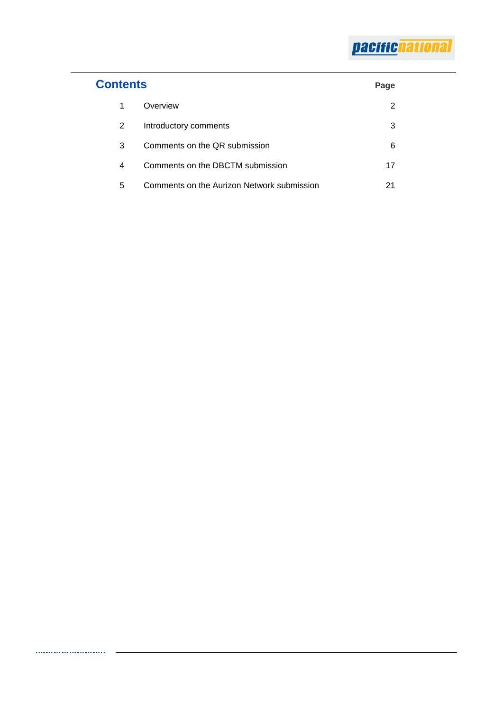| <b>Contents</b> |                                            |    |
|-----------------|--------------------------------------------|----|
| 1               | Overview                                   | 2  |
| 2               | Introductory comments                      | 3  |
| 3               | Comments on the QR submission              | 6  |
| 4               | Comments on the DBCTM submission           | 17 |
| 5               | Comments on the Aurizon Network submission | 21 |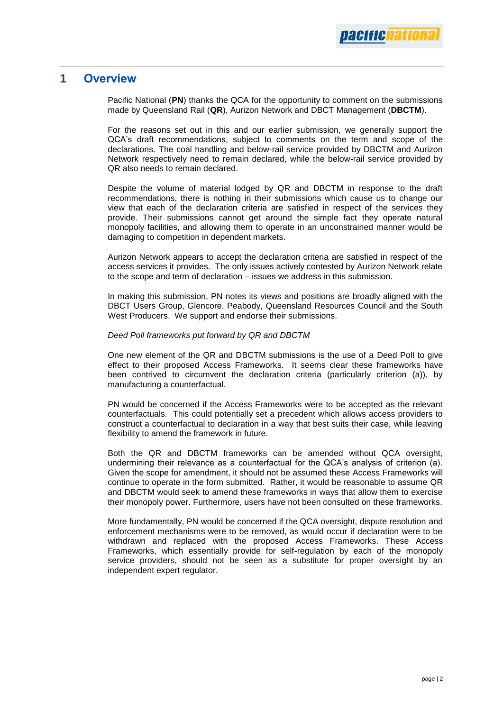# **1 Overview**

Pacific National (**PN**) thanks the QCA for the opportunity to comment on the submissions made by Queensland Rail (**QR**), Aurizon Network and DBCT Management (**DBCTM**).

For the reasons set out in this and our earlier submission, we generally support the QCA's draft recommendations, subject to comments on the term and scope of the declarations. The coal handling and below-rail service provided by DBCTM and Aurizon Network respectively need to remain declared, while the below-rail service provided by QR also needs to remain declared.

Despite the volume of material lodged by QR and DBCTM in response to the draft recommendations, there is nothing in their submissions which cause us to change our view that each of the declaration criteria are satisfied in respect of the services they provide. Their submissions cannot get around the simple fact they operate natural monopoly facilities, and allowing them to operate in an unconstrained manner would be damaging to competition in dependent markets.

Aurizon Network appears to accept the declaration criteria are satisfied in respect of the access services it provides. The only issues actively contested by Aurizon Network relate to the scope and term of declaration – issues we address in this submission.

In making this submission, PN notes its views and positions are broadly aligned with the DBCT Users Group, Glencore, Peabody, Queensland Resources Council and the South West Producers. We support and endorse their submissions.

#### *Deed Poll frameworks put forward by QR and DBCTM*

One new element of the QR and DBCTM submissions is the use of a Deed Poll to give effect to their proposed Access Frameworks. It seems clear these frameworks have been contrived to circumvent the declaration criteria (particularly criterion (a)), by manufacturing a counterfactual.

PN would be concerned if the Access Frameworks were to be accepted as the relevant counterfactuals. This could potentially set a precedent which allows access providers to construct a counterfactual to declaration in a way that best suits their case, while leaving flexibility to amend the framework in future.

Both the QR and DBCTM frameworks can be amended without QCA oversight, undermining their relevance as a counterfactual for the QCA's analysis of criterion (a). Given the scope for amendment, it should not be assumed these Access Frameworks will continue to operate in the form submitted. Rather, it would be reasonable to assume QR and DBCTM would seek to amend these frameworks in ways that allow them to exercise their monopoly power. Furthermore, users have not been consulted on these frameworks.

More fundamentally, PN would be concerned if the QCA oversight, dispute resolution and enforcement mechanisms were to be removed, as would occur if declaration were to be withdrawn and replaced with the proposed Access Frameworks. These Access Frameworks, which essentially provide for self-regulation by each of the monopoly service providers, should not be seen as a substitute for proper oversight by an independent expert regulator.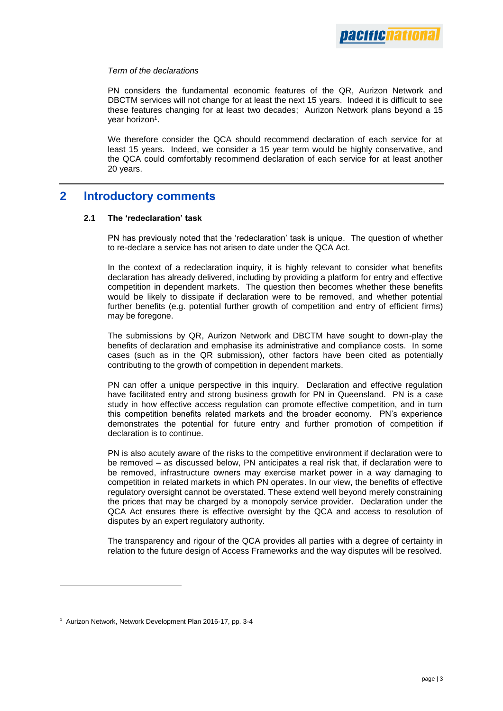#### *Term of the declarations*

PN considers the fundamental economic features of the QR, Aurizon Network and DBCTM services will not change for at least the next 15 years. Indeed it is difficult to see these features changing for at least two decades; Aurizon Network plans beyond a 15 year horizon<sup>1</sup>.

We therefore consider the QCA should recommend declaration of each service for at least 15 years. Indeed, we consider a 15 year term would be highly conservative, and the QCA could comfortably recommend declaration of each service for at least another 20 years.

### **2 Introductory comments**

#### **2.1 The 'redeclaration' task**

PN has previously noted that the 'redeclaration' task is unique. The question of whether to re-declare a service has not arisen to date under the QCA Act.

In the context of a redeclaration inquiry, it is highly relevant to consider what benefits declaration has already delivered, including by providing a platform for entry and effective competition in dependent markets. The question then becomes whether these benefits would be likely to dissipate if declaration were to be removed, and whether potential further benefits (e.g. potential further growth of competition and entry of efficient firms) may be foregone.

The submissions by QR, Aurizon Network and DBCTM have sought to down-play the benefits of declaration and emphasise its administrative and compliance costs. In some cases (such as in the QR submission), other factors have been cited as potentially contributing to the growth of competition in dependent markets.

PN can offer a unique perspective in this inquiry. Declaration and effective regulation have facilitated entry and strong business growth for PN in Queensland. PN is a case study in how effective access regulation can promote effective competition, and in turn this competition benefits related markets and the broader economy. PN's experience demonstrates the potential for future entry and further promotion of competition if declaration is to continue.

PN is also acutely aware of the risks to the competitive environment if declaration were to be removed – as discussed below, PN anticipates a real risk that, if declaration were to be removed, infrastructure owners may exercise market power in a way damaging to competition in related markets in which PN operates. In our view, the benefits of effective regulatory oversight cannot be overstated. These extend well beyond merely constraining the prices that may be charged by a monopoly service provider. Declaration under the QCA Act ensures there is effective oversight by the QCA and access to resolution of disputes by an expert regulatory authority.

The transparency and rigour of the QCA provides all parties with a degree of certainty in relation to the future design of Access Frameworks and the way disputes will be resolved.

<sup>1</sup> Aurizon Network, Network Development Plan 2016-17, pp. 3-4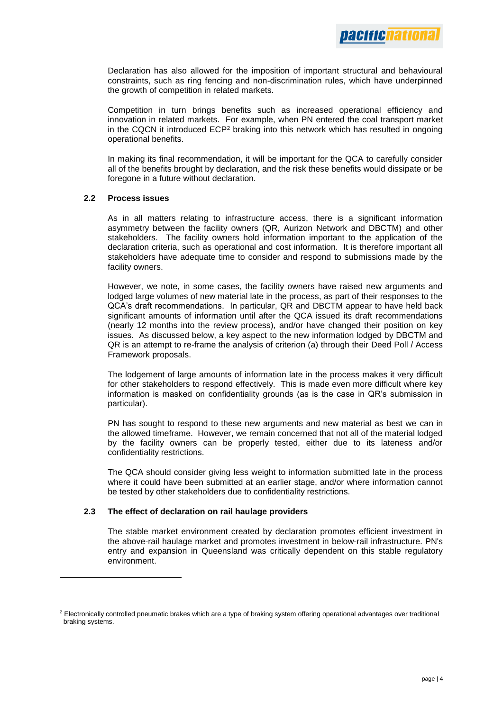Declaration has also allowed for the imposition of important structural and behavioural constraints, such as ring fencing and non-discrimination rules, which have underpinned the growth of competition in related markets.

Competition in turn brings benefits such as increased operational efficiency and innovation in related markets. For example, when PN entered the coal transport market in the CQCN it introduced  $ECP<sup>2</sup>$  braking into this network which has resulted in ongoing operational benefits.

In making its final recommendation, it will be important for the QCA to carefully consider all of the benefits brought by declaration, and the risk these benefits would dissipate or be foregone in a future without declaration.

#### **2.2 Process issues**

l

As in all matters relating to infrastructure access, there is a significant information asymmetry between the facility owners (QR, Aurizon Network and DBCTM) and other stakeholders. The facility owners hold information important to the application of the declaration criteria, such as operational and cost information. It is therefore important all stakeholders have adequate time to consider and respond to submissions made by the facility owners.

However, we note, in some cases, the facility owners have raised new arguments and lodged large volumes of new material late in the process, as part of their responses to the QCA's draft recommendations. In particular, QR and DBCTM appear to have held back significant amounts of information until after the QCA issued its draft recommendations (nearly 12 months into the review process), and/or have changed their position on key issues. As discussed below, a key aspect to the new information lodged by DBCTM and QR is an attempt to re-frame the analysis of criterion (a) through their Deed Poll / Access Framework proposals.

The lodgement of large amounts of information late in the process makes it very difficult for other stakeholders to respond effectively. This is made even more difficult where key information is masked on confidentiality grounds (as is the case in QR's submission in particular).

PN has sought to respond to these new arguments and new material as best we can in the allowed timeframe. However, we remain concerned that not all of the material lodged by the facility owners can be properly tested, either due to its lateness and/or confidentiality restrictions.

The QCA should consider giving less weight to information submitted late in the process where it could have been submitted at an earlier stage, and/or where information cannot be tested by other stakeholders due to confidentiality restrictions.

#### **2.3 The effect of declaration on rail haulage providers**

The stable market environment created by declaration promotes efficient investment in the above-rail haulage market and promotes investment in below-rail infrastructure. PN's entry and expansion in Queensland was critically dependent on this stable regulatory environment.

<sup>&</sup>lt;sup>2</sup> Electronically controlled pneumatic brakes which are a type of braking system offering operational advantages over traditional braking systems.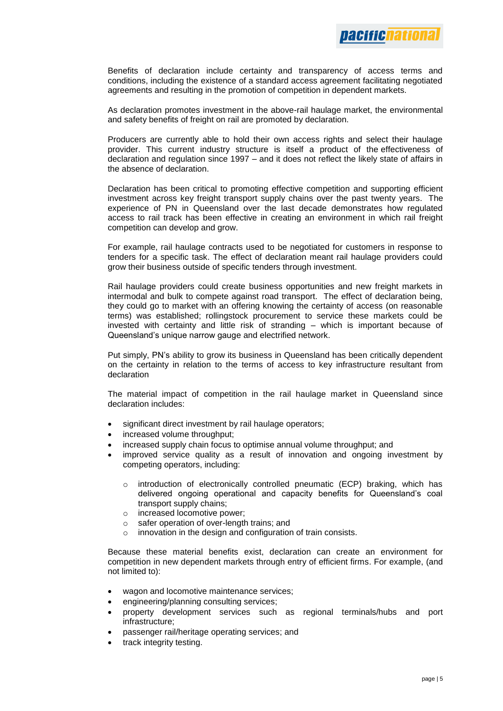

Benefits of declaration include certainty and transparency of access terms and conditions, including the existence of a standard access agreement facilitating negotiated agreements and resulting in the promotion of competition in dependent markets.

As declaration promotes investment in the above-rail haulage market, the environmental and safety benefits of freight on rail are promoted by declaration.

Producers are currently able to hold their own access rights and select their haulage provider. This current industry structure is itself a product of the effectiveness of declaration and regulation since 1997 – and it does not reflect the likely state of affairs in the absence of declaration.

Declaration has been critical to promoting effective competition and supporting efficient investment across key freight transport supply chains over the past twenty years. The experience of PN in Queensland over the last decade demonstrates how regulated access to rail track has been effective in creating an environment in which rail freight competition can develop and grow.

For example, rail haulage contracts used to be negotiated for customers in response to tenders for a specific task. The effect of declaration meant rail haulage providers could grow their business outside of specific tenders through investment.

Rail haulage providers could create business opportunities and new freight markets in intermodal and bulk to compete against road transport. The effect of declaration being, they could go to market with an offering knowing the certainty of access (on reasonable terms) was established; rollingstock procurement to service these markets could be invested with certainty and little risk of stranding – which is important because of Queensland's unique narrow gauge and electrified network.

Put simply, PN's ability to grow its business in Queensland has been critically dependent on the certainty in relation to the terms of access to key infrastructure resultant from declaration

The material impact of competition in the rail haulage market in Queensland since declaration includes:

- significant direct investment by rail haulage operators;
- increased volume throughput;
- increased supply chain focus to optimise annual volume throughput; and
- improved service quality as a result of innovation and ongoing investment by competing operators, including:
	- $\circ$  introduction of electronically controlled pneumatic (ECP) braking, which has delivered ongoing operational and capacity benefits for Queensland's coal transport supply chains;
	- o increased locomotive power;
	- o safer operation of over-length trains; and
	- o innovation in the design and configuration of train consists.

Because these material benefits exist, declaration can create an environment for competition in new dependent markets through entry of efficient firms. For example, (and not limited to):

- wagon and locomotive maintenance services;
- engineering/planning consulting services;
- property development services such as regional terminals/hubs and port infrastructure;
- passenger rail/heritage operating services; and
- track integrity testing.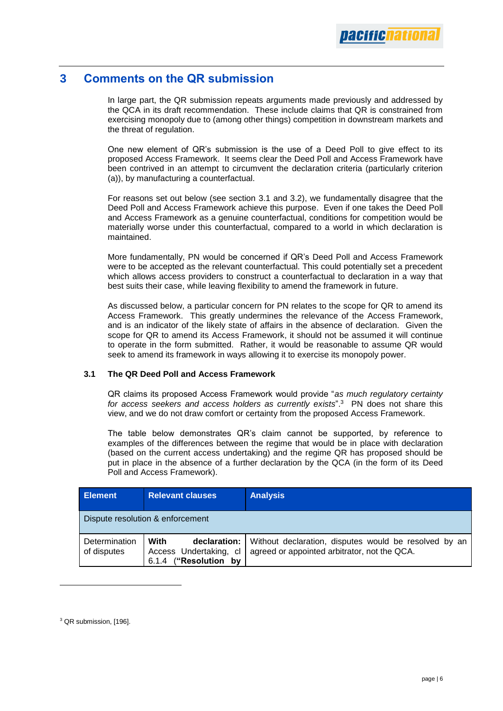# **3 Comments on the QR submission**

In large part, the QR submission repeats arguments made previously and addressed by the QCA in its draft recommendation. These include claims that QR is constrained from exercising monopoly due to (among other things) competition in downstream markets and the threat of regulation.

One new element of QR's submission is the use of a Deed Poll to give effect to its proposed Access Framework. It seems clear the Deed Poll and Access Framework have been contrived in an attempt to circumvent the declaration criteria (particularly criterion (a)), by manufacturing a counterfactual.

For reasons set out below (see section 3.1 and 3.2), we fundamentally disagree that the Deed Poll and Access Framework achieve this purpose. Even if one takes the Deed Poll and Access Framework as a genuine counterfactual, conditions for competition would be materially worse under this counterfactual, compared to a world in which declaration is maintained.

More fundamentally, PN would be concerned if QR's Deed Poll and Access Framework were to be accepted as the relevant counterfactual. This could potentially set a precedent which allows access providers to construct a counterfactual to declaration in a way that best suits their case, while leaving flexibility to amend the framework in future.

As discussed below, a particular concern for PN relates to the scope for QR to amend its Access Framework. This greatly undermines the relevance of the Access Framework, and is an indicator of the likely state of affairs in the absence of declaration. Given the scope for QR to amend its Access Framework, it should not be assumed it will continue to operate in the form submitted. Rather, it would be reasonable to assume QR would seek to amend its framework in ways allowing it to exercise its monopoly power.

#### **3.1 The QR Deed Poll and Access Framework**

QR claims its proposed Access Framework would provide "*as much regulatory certainty*  for access seekers and access holders as currently exists".<sup>3</sup> PN does not share this view, and we do not draw comfort or certainty from the proposed Access Framework.

The table below demonstrates QR's claim cannot be supported, by reference to examples of the differences between the regime that would be in place with declaration (based on the current access undertaking) and the regime QR has proposed should be put in place in the absence of a further declaration by the QCA (in the form of its Deed Poll and Access Framework).

| <b>Element</b>                   | <b>Relevant clauses</b>                                                    | <b>Analysis</b>                                                                                       |  |  |  |
|----------------------------------|----------------------------------------------------------------------------|-------------------------------------------------------------------------------------------------------|--|--|--|
| Dispute resolution & enforcement |                                                                            |                                                                                                       |  |  |  |
| Determination<br>of disputes     | With<br>declaration:<br>Access Undertaking, cl<br>("Resolution by<br>6.1.4 | Without declaration, disputes would be resolved by an<br>agreed or appointed arbitrator, not the QCA. |  |  |  |

<sup>&</sup>lt;sup>3</sup> QR submission, [196].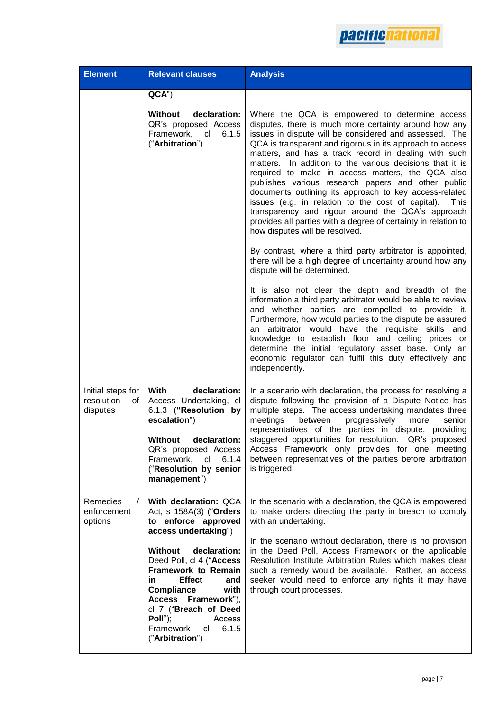

| <b>Element</b>                                    | <b>Relevant clauses</b>                                                                                                                                                                                                                                                     | <b>Analysis</b>                                                                                                                                                                                                                                                                                                                                                                                                                                                                                                                                                                                                                                                                                                                              |
|---------------------------------------------------|-----------------------------------------------------------------------------------------------------------------------------------------------------------------------------------------------------------------------------------------------------------------------------|----------------------------------------------------------------------------------------------------------------------------------------------------------------------------------------------------------------------------------------------------------------------------------------------------------------------------------------------------------------------------------------------------------------------------------------------------------------------------------------------------------------------------------------------------------------------------------------------------------------------------------------------------------------------------------------------------------------------------------------------|
|                                                   | QCA"                                                                                                                                                                                                                                                                        |                                                                                                                                                                                                                                                                                                                                                                                                                                                                                                                                                                                                                                                                                                                                              |
|                                                   | declaration:<br>Without<br>QR's proposed Access<br>Framework, cl<br>6.1.5<br>("Arbitration")                                                                                                                                                                                | Where the QCA is empowered to determine access<br>disputes, there is much more certainty around how any<br>issues in dispute will be considered and assessed. The<br>QCA is transparent and rigorous in its approach to access<br>matters, and has a track record in dealing with such<br>matters. In addition to the various decisions that it is<br>required to make in access matters, the QCA also<br>publishes various research papers and other public<br>documents outlining its approach to key access-related<br>issues (e.g. in relation to the cost of capital).<br>This<br>transparency and rigour around the QCA's approach<br>provides all parties with a degree of certainty in relation to<br>how disputes will be resolved. |
|                                                   |                                                                                                                                                                                                                                                                             | By contrast, where a third party arbitrator is appointed,<br>there will be a high degree of uncertainty around how any<br>dispute will be determined.                                                                                                                                                                                                                                                                                                                                                                                                                                                                                                                                                                                        |
|                                                   |                                                                                                                                                                                                                                                                             | It is also not clear the depth and breadth of the<br>information a third party arbitrator would be able to review<br>and whether parties are compelled to provide it.<br>Furthermore, how would parties to the dispute be assured<br>arbitrator would have the requisite skills and<br>an<br>knowledge to establish floor and ceiling prices or<br>determine the initial regulatory asset base. Only an<br>economic regulator can fulfil this duty effectively and<br>independently.                                                                                                                                                                                                                                                         |
| Initial steps for<br>resolution<br>οf<br>disputes | With<br>declaration:<br>Access Undertaking, cl<br>6.1.3 ("Resolution by<br>escalation")<br>declaration:<br><b>Without</b><br>QR's proposed Access<br>Framework,<br>cl<br>6.1.4<br>("Resolution by senior<br>management")                                                    | In a scenario with declaration, the process for resolving a<br>dispute following the provision of a Dispute Notice has<br>multiple steps. The access undertaking mandates three<br>meetings<br>between<br>progressively<br>senior<br>more<br>representatives of the parties in dispute, providing<br>staggered opportunities for resolution. QR's proposed<br>Access Framework only provides for one meeting<br>between representatives of the parties before arbitration<br>is triggered.                                                                                                                                                                                                                                                   |
| Remedies<br>$\prime$<br>enforcement<br>options    | With declaration: QCA<br>Act, s 158A(3) ("Orders<br>to enforce approved<br>access undertaking")                                                                                                                                                                             | In the scenario with a declaration, the QCA is empowered<br>to make orders directing the party in breach to comply<br>with an undertaking.                                                                                                                                                                                                                                                                                                                                                                                                                                                                                                                                                                                                   |
|                                                   | <b>Without</b><br>declaration:<br>Deed Poll, cl 4 ("Access<br>Framework to Remain<br><b>Effect</b><br>and<br>in.<br>with<br><b>Compliance</b><br>Framework"),<br><b>Access</b><br>cl 7 ("Breach of Deed<br>Poll");<br>Access<br>Framework<br>6.1.5<br>cl<br>("Arbitration") | In the scenario without declaration, there is no provision<br>in the Deed Poll, Access Framework or the applicable<br>Resolution Institute Arbitration Rules which makes clear<br>such a remedy would be available. Rather, an access<br>seeker would need to enforce any rights it may have<br>through court processes.                                                                                                                                                                                                                                                                                                                                                                                                                     |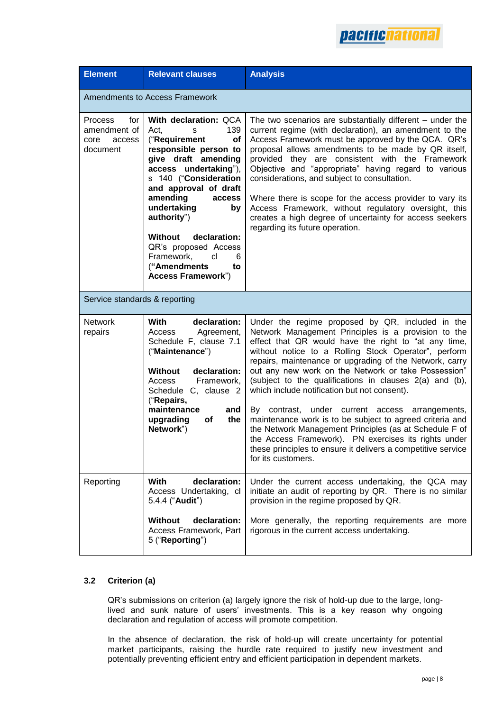

| <b>Element</b>                                                      | <b>Relevant clauses</b>                                                                                                                                                                                                                                                                                                                                                                            | <b>Analysis</b>                                                                                                                                                                                                                                                                                                                                                                                                                                                                                                                                                                                                                                                                                                                                                                |  |  |  |
|---------------------------------------------------------------------|----------------------------------------------------------------------------------------------------------------------------------------------------------------------------------------------------------------------------------------------------------------------------------------------------------------------------------------------------------------------------------------------------|--------------------------------------------------------------------------------------------------------------------------------------------------------------------------------------------------------------------------------------------------------------------------------------------------------------------------------------------------------------------------------------------------------------------------------------------------------------------------------------------------------------------------------------------------------------------------------------------------------------------------------------------------------------------------------------------------------------------------------------------------------------------------------|--|--|--|
| Amendments to Access Framework                                      |                                                                                                                                                                                                                                                                                                                                                                                                    |                                                                                                                                                                                                                                                                                                                                                                                                                                                                                                                                                                                                                                                                                                                                                                                |  |  |  |
| <b>Process</b><br>for<br>amendment of<br>core<br>access<br>document | With declaration: QCA<br>139<br>Act.<br>S<br>("Requirement<br><b>of</b><br>responsible person to<br>give draft amending<br>access undertaking"),<br>s 140 ("Consideration<br>and approval of draft<br>amending<br>access<br>undertaking<br>by<br>authority")<br><b>Without</b><br>declaration:<br>QR's proposed Access<br>Framework,<br>cl<br>6<br>("Amendments<br>to<br><b>Access Framework")</b> | The two scenarios are substantially different $-$ under the<br>current regime (with declaration), an amendment to the<br>Access Framework must be approved by the QCA. QR's<br>proposal allows amendments to be made by QR itself,<br>provided they are consistent with the Framework<br>Objective and "appropriate" having regard to various<br>considerations, and subject to consultation.<br>Where there is scope for the access provider to vary its<br>Access Framework, without regulatory oversight, this<br>creates a high degree of uncertainty for access seekers<br>regarding its future operation.                                                                                                                                                                |  |  |  |
|                                                                     | Service standards & reporting                                                                                                                                                                                                                                                                                                                                                                      |                                                                                                                                                                                                                                                                                                                                                                                                                                                                                                                                                                                                                                                                                                                                                                                |  |  |  |
| <b>Network</b><br>repairs                                           | declaration:<br>With<br>Access<br>Agreement,<br>Schedule F, clause 7.1<br>("Maintenance")<br>declaration:<br><b>Without</b><br>Framework,<br>Access<br>Schedule C, clause 2<br>("Repairs,<br>maintenance<br>and<br>upgrading<br>the<br><b>of</b><br>Network")                                                                                                                                      | Under the regime proposed by QR, included in the<br>Network Management Principles is a provision to the<br>effect that QR would have the right to "at any time,<br>without notice to a Rolling Stock Operator", perform<br>repairs, maintenance or upgrading of the Network, carry<br>out any new work on the Network or take Possession"<br>(subject to the qualifications in clauses 2(a) and (b),<br>which include notification but not consent).<br>By contrast,<br>under current access arrangements,<br>maintenance work is to be subject to agreed criteria and<br>the Network Management Principles (as at Schedule F of<br>the Access Framework). PN exercises its rights under<br>these principles to ensure it delivers a competitive service<br>for its customers. |  |  |  |
| Reporting                                                           | With<br>declaration:<br>Access Undertaking, cl<br>5.4.4 ("Audit")                                                                                                                                                                                                                                                                                                                                  | Under the current access undertaking, the QCA may<br>initiate an audit of reporting by QR. There is no similar<br>provision in the regime proposed by QR.                                                                                                                                                                                                                                                                                                                                                                                                                                                                                                                                                                                                                      |  |  |  |
|                                                                     | declaration:<br><b>Without</b><br>Access Framework, Part<br>5 ("Reporting")                                                                                                                                                                                                                                                                                                                        | More generally, the reporting requirements are more<br>rigorous in the current access undertaking.                                                                                                                                                                                                                                                                                                                                                                                                                                                                                                                                                                                                                                                                             |  |  |  |

#### **3.2 Criterion (a)**

QR's submissions on criterion (a) largely ignore the risk of hold-up due to the large, longlived and sunk nature of users' investments. This is a key reason why ongoing declaration and regulation of access will promote competition.

In the absence of declaration, the risk of hold-up will create uncertainty for potential market participants, raising the hurdle rate required to justify new investment and potentially preventing efficient entry and efficient participation in dependent markets.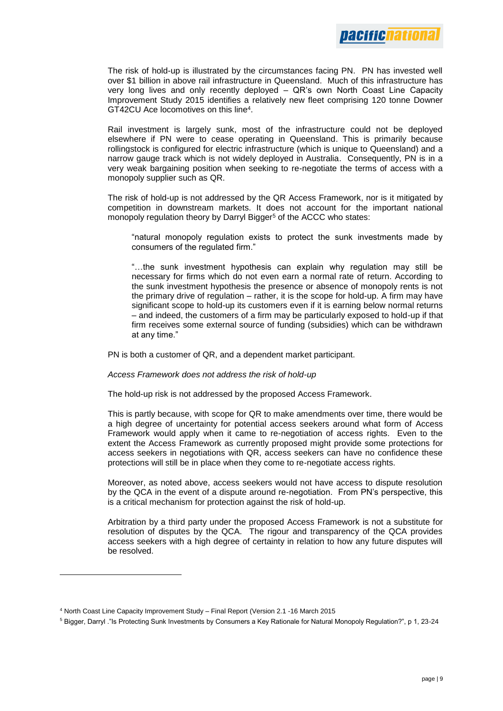

The risk of hold-up is illustrated by the circumstances facing PN. PN has invested well over \$1 billion in above rail infrastructure in Queensland. Much of this infrastructure has very long lives and only recently deployed – QR's own North Coast Line Capacity Improvement Study 2015 identifies a relatively new fleet comprising 120 tonne Downer GT42CU Ace locomotives on this line<sup>4</sup> .

Rail investment is largely sunk, most of the infrastructure could not be deployed elsewhere if PN were to cease operating in Queensland. This is primarily because rollingstock is configured for electric infrastructure (which is unique to Queensland) and a narrow gauge track which is not widely deployed in Australia. Consequently, PN is in a very weak bargaining position when seeking to re-negotiate the terms of access with a monopoly supplier such as QR.

The risk of hold-up is not addressed by the QR Access Framework, nor is it mitigated by competition in downstream markets. It does not account for the important national monopoly regulation theory by Darryl Bigger<sup>5</sup> of the ACCC who states:

"natural monopoly regulation exists to protect the sunk investments made by consumers of the regulated firm."

"…the sunk investment hypothesis can explain why regulation may still be necessary for firms which do not even earn a normal rate of return. According to the sunk investment hypothesis the presence or absence of monopoly rents is not the primary drive of regulation – rather, it is the scope for hold-up. A firm may have significant scope to hold-up its customers even if it is earning below normal returns – and indeed, the customers of a firm may be particularly exposed to hold-up if that firm receives some external source of funding (subsidies) which can be withdrawn at any time."

PN is both a customer of QR, and a dependent market participant.

*Access Framework does not address the risk of hold-up*

The hold-up risk is not addressed by the proposed Access Framework.

This is partly because, with scope for QR to make amendments over time, there would be a high degree of uncertainty for potential access seekers around what form of Access Framework would apply when it came to re-negotiation of access rights. Even to the extent the Access Framework as currently proposed might provide some protections for access seekers in negotiations with QR, access seekers can have no confidence these protections will still be in place when they come to re-negotiate access rights.

Moreover, as noted above, access seekers would not have access to dispute resolution by the QCA in the event of a dispute around re-negotiation. From PN's perspective, this is a critical mechanism for protection against the risk of hold-up.

Arbitration by a third party under the proposed Access Framework is not a substitute for resolution of disputes by the QCA. The rigour and transparency of the QCA provides access seekers with a high degree of certainty in relation to how any future disputes will be resolved.

<sup>4</sup> North Coast Line Capacity Improvement Study – Final Report (Version 2.1 -16 March 2015

<sup>5</sup> Bigger, Darryl ."Is Protecting Sunk Investments by Consumers a Key Rationale for Natural Monopoly Regulation?", p 1, 23-24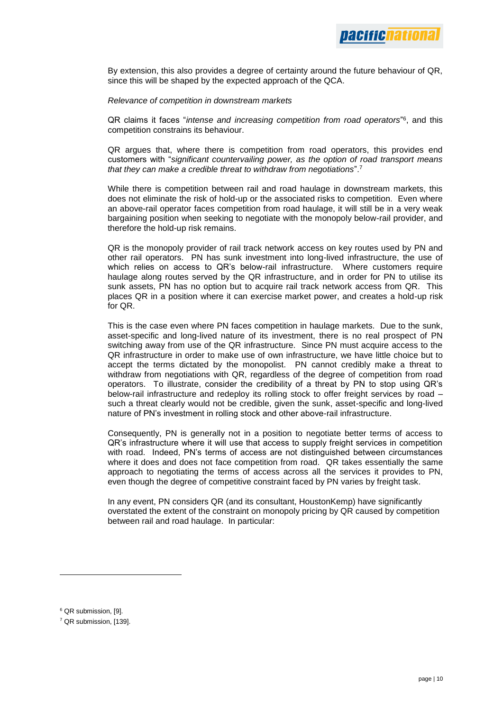By extension, this also provides a degree of certainty around the future behaviour of QR, since this will be shaped by the expected approach of the QCA.

#### *Relevance of competition in downstream markets*

QR claims it faces "*intense and increasing competition from road operators*" 6 , and this competition constrains its behaviour.

QR argues that, where there is competition from road operators, this provides end customers with "*significant countervailing power, as the option of road transport means that they can make a credible threat to withdraw from negotiations*".<sup>7</sup>

While there is competition between rail and road haulage in downstream markets, this does not eliminate the risk of hold-up or the associated risks to competition. Even where an above-rail operator faces competition from road haulage, it will still be in a very weak bargaining position when seeking to negotiate with the monopoly below-rail provider, and therefore the hold-up risk remains.

QR is the monopoly provider of rail track network access on key routes used by PN and other rail operators. PN has sunk investment into long-lived infrastructure, the use of which relies on access to QR's below-rail infrastructure. Where customers require haulage along routes served by the QR infrastructure, and in order for PN to utilise its sunk assets, PN has no option but to acquire rail track network access from QR. This places QR in a position where it can exercise market power, and creates a hold-up risk for QR.

This is the case even where PN faces competition in haulage markets. Due to the sunk, asset-specific and long-lived nature of its investment, there is no real prospect of PN switching away from use of the QR infrastructure. Since PN must acquire access to the QR infrastructure in order to make use of own infrastructure, we have little choice but to accept the terms dictated by the monopolist. PN cannot credibly make a threat to withdraw from negotiations with QR, regardless of the degree of competition from road operators. To illustrate, consider the credibility of a threat by PN to stop using QR's below-rail infrastructure and redeploy its rolling stock to offer freight services by road – such a threat clearly would not be credible, given the sunk, asset-specific and long-lived nature of PN's investment in rolling stock and other above-rail infrastructure.

Consequently, PN is generally not in a position to negotiate better terms of access to QR's infrastructure where it will use that access to supply freight services in competition with road. Indeed, PN's terms of access are not distinguished between circumstances where it does and does not face competition from road. QR takes essentially the same approach to negotiating the terms of access across all the services it provides to PN, even though the degree of competitive constraint faced by PN varies by freight task.

In any event, PN considers QR (and its consultant, HoustonKemp) have significantly overstated the extent of the constraint on monopoly pricing by QR caused by competition between rail and road haulage. In particular:

<sup>6</sup> QR submission, [9].

<sup>7</sup> QR submission, [139].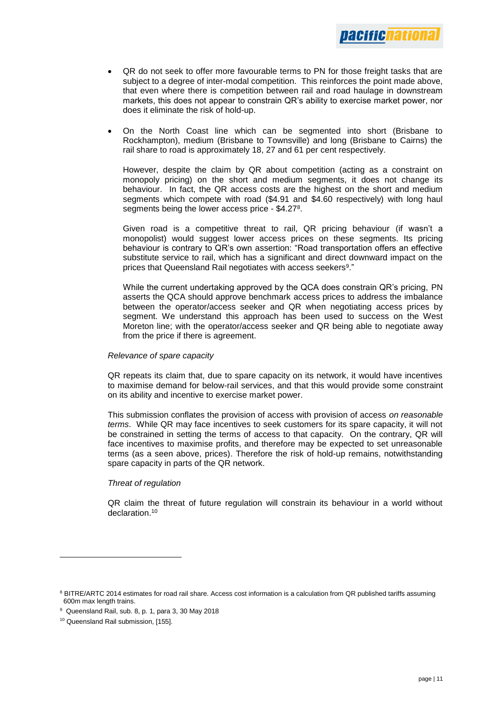

- QR do not seek to offer more favourable terms to PN for those freight tasks that are subject to a degree of inter-modal competition. This reinforces the point made above, that even where there is competition between rail and road haulage in downstream markets, this does not appear to constrain QR's ability to exercise market power, nor does it eliminate the risk of hold-up.
- On the North Coast line which can be segmented into short (Brisbane to Rockhampton), medium (Brisbane to Townsville) and long (Brisbane to Cairns) the rail share to road is approximately 18, 27 and 61 per cent respectively.

However, despite the claim by QR about competition (acting as a constraint on monopoly pricing) on the short and medium segments, it does not change its behaviour. In fact, the QR access costs are the highest on the short and medium segments which compete with road (\$4.91 and \$4.60 respectively) with long haul segments being the lower access price - \$4.27<sup>8</sup>.

Given road is a competitive threat to rail, QR pricing behaviour (if wasn't a monopolist) would suggest lower access prices on these segments. Its pricing behaviour is contrary to QR's own assertion: "Road transportation offers an effective substitute service to rail, which has a significant and direct downward impact on the prices that Queensland Rail negotiates with access seekers<sup>9</sup>."

While the current undertaking approved by the QCA does constrain QR's pricing, PN asserts the QCA should approve benchmark access prices to address the imbalance between the operator/access seeker and QR when negotiating access prices by segment. We understand this approach has been used to success on the West Moreton line; with the operator/access seeker and QR being able to negotiate away from the price if there is agreement.

#### *Relevance of spare capacity*

QR repeats its claim that, due to spare capacity on its network, it would have incentives to maximise demand for below-rail services, and that this would provide some constraint on its ability and incentive to exercise market power.

This submission conflates the provision of access with provision of access *on reasonable terms*. While QR may face incentives to seek customers for its spare capacity, it will not be constrained in setting the terms of access to that capacity. On the contrary, QR will face incentives to maximise profits, and therefore may be expected to set unreasonable terms (as a seen above, prices). Therefore the risk of hold-up remains, notwithstanding spare capacity in parts of the QR network.

#### *Threat of regulation*

QR claim the threat of future regulation will constrain its behaviour in a world without declaration.<sup>10</sup>

<sup>&</sup>lt;sup>8</sup> BITRE/ARTC 2014 estimates for road rail share. Access cost information is a calculation from QR published tariffs assuming 600m max length trains.

<sup>9</sup> Queensland Rail, sub. 8, p. 1, para 3, 30 May 2018

<sup>10</sup> Queensland Rail submission, [155].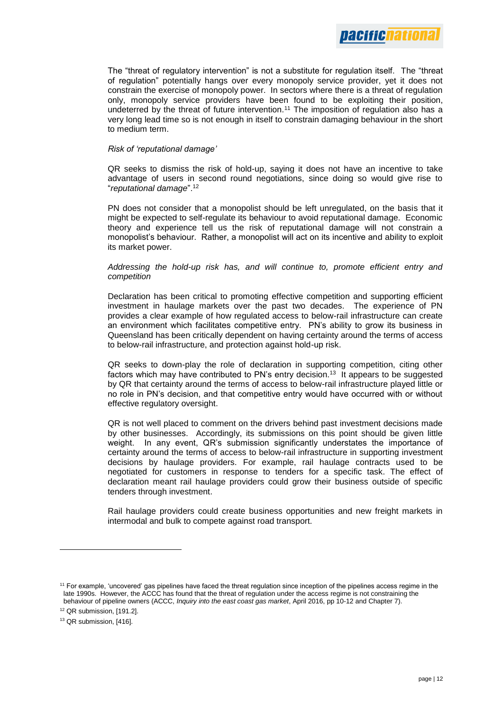The "threat of regulatory intervention" is not a substitute for regulation itself. The "threat of regulation" potentially hangs over every monopoly service provider, yet it does not constrain the exercise of monopoly power. In sectors where there is a threat of regulation only, monopoly service providers have been found to be exploiting their position, undeterred by the threat of future intervention.<sup>11</sup> The imposition of regulation also has a very long lead time so is not enough in itself to constrain damaging behaviour in the short to medium term.

#### *Risk of 'reputational damage'*

QR seeks to dismiss the risk of hold-up, saying it does not have an incentive to take advantage of users in second round negotiations, since doing so would give rise to "*reputational damage*".<sup>12</sup>

PN does not consider that a monopolist should be left unregulated, on the basis that it might be expected to self-regulate its behaviour to avoid reputational damage. Economic theory and experience tell us the risk of reputational damage will not constrain a monopolist's behaviour. Rather, a monopolist will act on its incentive and ability to exploit its market power.

*Addressing the hold-up risk has, and will continue to, promote efficient entry and competition*

Declaration has been critical to promoting effective competition and supporting efficient investment in haulage markets over the past two decades. The experience of PN provides a clear example of how regulated access to below-rail infrastructure can create an environment which facilitates competitive entry. PN's ability to grow its business in Queensland has been critically dependent on having certainty around the terms of access to below-rail infrastructure, and protection against hold-up risk.

QR seeks to down-play the role of declaration in supporting competition, citing other factors which may have contributed to PN's entry decision.<sup>13</sup> It appears to be suggested by QR that certainty around the terms of access to below-rail infrastructure played little or no role in PN's decision, and that competitive entry would have occurred with or without effective regulatory oversight.

QR is not well placed to comment on the drivers behind past investment decisions made by other businesses. Accordingly, its submissions on this point should be given little weight. In any event, QR's submission significantly understates the importance of certainty around the terms of access to below-rail infrastructure in supporting investment decisions by haulage providers. For example, rail haulage contracts used to be negotiated for customers in response to tenders for a specific task. The effect of declaration meant rail haulage providers could grow their business outside of specific tenders through investment.

Rail haulage providers could create business opportunities and new freight markets in intermodal and bulk to compete against road transport.

<sup>11</sup> For example, 'uncovered' gas pipelines have faced the threat regulation since inception of the pipelines access regime in the late 1990s. However, the ACCC has found that the threat of regulation under the access regime is not constraining the behaviour of pipeline owners (ACCC, *Inquiry into the east coast gas market*, April 2016, pp 10-12 and Chapter 7).

<sup>12</sup> QR submission, [191.2].

<sup>&</sup>lt;sup>13</sup> QR submission, [416].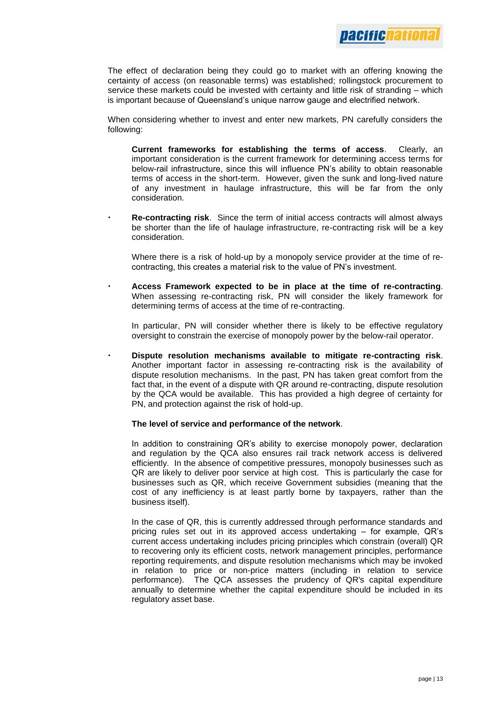

The effect of declaration being they could go to market with an offering knowing the certainty of access (on reasonable terms) was established; rollingstock procurement to service these markets could be invested with certainty and little risk of stranding – which is important because of Queensland's unique narrow gauge and electrified network.

When considering whether to invest and enter new markets, PN carefully considers the following:

- **Current frameworks for establishing the terms of access**. Clearly, an important consideration is the current framework for determining access terms for below-rail infrastructure, since this will influence PN's ability to obtain reasonable terms of access in the short-term. However, given the sunk and long-lived nature of any investment in haulage infrastructure, this will be far from the only consideration.
- **Re-contracting risk**. Since the term of initial access contracts will almost always be shorter than the life of haulage infrastructure, re-contracting risk will be a key consideration.

Where there is a risk of hold-up by a monopoly service provider at the time of recontracting, this creates a material risk to the value of PN's investment.

 **Access Framework expected to be in place at the time of re-contracting**. When assessing re-contracting risk, PN will consider the likely framework for determining terms of access at the time of re-contracting.

In particular, PN will consider whether there is likely to be effective regulatory oversight to constrain the exercise of monopoly power by the below-rail operator.

 **Dispute resolution mechanisms available to mitigate re-contracting risk**. Another important factor in assessing re-contracting risk is the availability of dispute resolution mechanisms. In the past, PN has taken great comfort from the fact that, in the event of a dispute with QR around re-contracting, dispute resolution by the QCA would be available. This has provided a high degree of certainty for PN, and protection against the risk of hold-up.

#### **The level of service and performance of the network**.

In addition to constraining QR's ability to exercise monopoly power, declaration and regulation by the QCA also ensures rail track network access is delivered efficiently. In the absence of competitive pressures, monopoly businesses such as QR are likely to deliver poor service at high cost. This is particularly the case for businesses such as QR, which receive Government subsidies (meaning that the cost of any inefficiency is at least partly borne by taxpayers, rather than the business itself).

In the case of QR, this is currently addressed through performance standards and pricing rules set out in its approved access undertaking – for example, QR's current access undertaking includes pricing principles which constrain (overall) QR to recovering only its efficient costs, network management principles, performance reporting requirements, and dispute resolution mechanisms which may be invoked in relation to price or non-price matters (including in relation to service performance). The QCA assesses the prudency of QR's capital expenditure annually to determine whether the capital expenditure should be included in its regulatory asset base.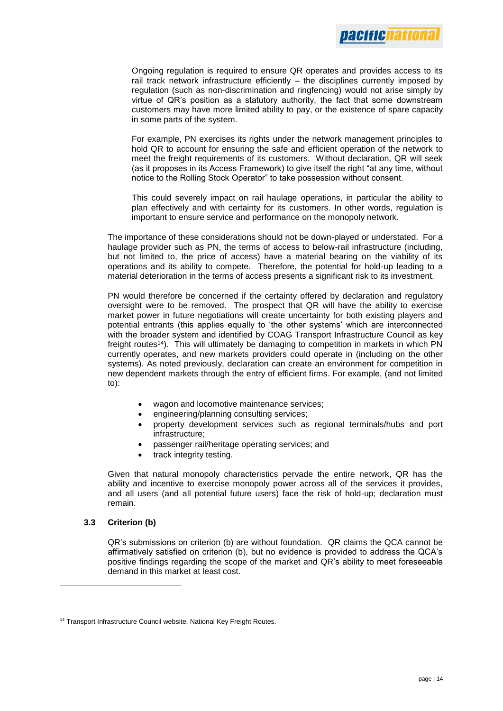

Ongoing regulation is required to ensure QR operates and provides access to its rail track network infrastructure efficiently – the disciplines currently imposed by regulation (such as non-discrimination and ringfencing) would not arise simply by virtue of QR's position as a statutory authority, the fact that some downstream customers may have more limited ability to pay, or the existence of spare capacity in some parts of the system.

For example, PN exercises its rights under the network management principles to hold QR to account for ensuring the safe and efficient operation of the network to meet the freight requirements of its customers. Without declaration, QR will seek (as it proposes in its Access Framework) to give itself the right "at any time, without notice to the Rolling Stock Operator" to take possession without consent.

This could severely impact on rail haulage operations, in particular the ability to plan effectively and with certainty for its customers. In other words, regulation is important to ensure service and performance on the monopoly network.

The importance of these considerations should not be down-played or understated. For a haulage provider such as PN, the terms of access to below-rail infrastructure (including, but not limited to, the price of access) have a material bearing on the viability of its operations and its ability to compete. Therefore, the potential for hold-up leading to a material deterioration in the terms of access presents a significant risk to its investment.

PN would therefore be concerned if the certainty offered by declaration and regulatory oversight were to be removed. The prospect that QR will have the ability to exercise market power in future negotiations will create uncertainty for both existing players and potential entrants (this applies equally to 'the other systems' which are interconnected with the broader system and identified by COAG Transport Infrastructure Council as key freight routes<sup>14</sup>). This will ultimately be damaging to competition in markets in which PN currently operates, and new markets providers could operate in (including on the other systems). As noted previously, declaration can create an environment for competition in new dependent markets through the entry of efficient firms. For example, (and not limited to):

- wagon and locomotive maintenance services;
- engineering/planning consulting services;
- property development services such as regional terminals/hubs and port infrastructure;
- passenger rail/heritage operating services; and
- track integrity testing.

Given that natural monopoly characteristics pervade the entire network, QR has the ability and incentive to exercise monopoly power across all of the services it provides, and all users (and all potential future users) face the risk of hold-up; declaration must remain.

#### **3.3 Criterion (b)**

l

QR's submissions on criterion (b) are without foundation. QR claims the QCA cannot be affirmatively satisfied on criterion (b), but no evidence is provided to address the QCA's positive findings regarding the scope of the market and QR's ability to meet foreseeable demand in this market at least cost.

<sup>&</sup>lt;sup>14</sup> Transport Infrastructure Council website, National Key Freight Routes.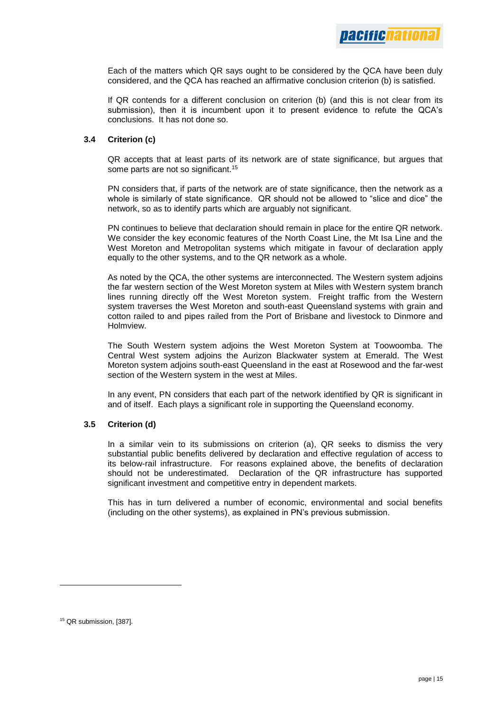Each of the matters which QR says ought to be considered by the QCA have been duly considered, and the QCA has reached an affirmative conclusion criterion (b) is satisfied.

If QR contends for a different conclusion on criterion (b) (and this is not clear from its submission), then it is incumbent upon it to present evidence to refute the QCA's conclusions. It has not done so.

#### **3.4 Criterion (c)**

QR accepts that at least parts of its network are of state significance, but argues that some parts are not so significant.<sup>15</sup>

PN considers that, if parts of the network are of state significance, then the network as a whole is similarly of state significance. QR should not be allowed to "slice and dice" the network, so as to identify parts which are arguably not significant.

PN continues to believe that declaration should remain in place for the entire QR network. We consider the key economic features of the North Coast Line, the Mt Isa Line and the West Moreton and Metropolitan systems which mitigate in favour of declaration apply equally to the other systems, and to the QR network as a whole.

As noted by the QCA, the other systems are interconnected. The Western system adjoins the far western section of the West Moreton system at Miles with Western system branch lines running directly off the West Moreton system. Freight traffic from the Western system traverses the West Moreton and south-east Queensland systems with grain and cotton railed to and pipes railed from the Port of Brisbane and livestock to Dinmore and Holmview.

The South Western system adjoins the West Moreton System at Toowoomba. The Central West system adjoins the Aurizon Blackwater system at Emerald. The West Moreton system adjoins south-east Queensland in the east at Rosewood and the far-west section of the Western system in the west at Miles.

In any event, PN considers that each part of the network identified by QR is significant in and of itself. Each plays a significant role in supporting the Queensland economy.

#### **3.5 Criterion (d)**

In a similar vein to its submissions on criterion (a), QR seeks to dismiss the very substantial public benefits delivered by declaration and effective regulation of access to its below-rail infrastructure. For reasons explained above, the benefits of declaration should not be underestimated. Declaration of the QR infrastructure has supported significant investment and competitive entry in dependent markets.

This has in turn delivered a number of economic, environmental and social benefits (including on the other systems), as explained in PN's previous submission.

<sup>15</sup> QR submission, [387].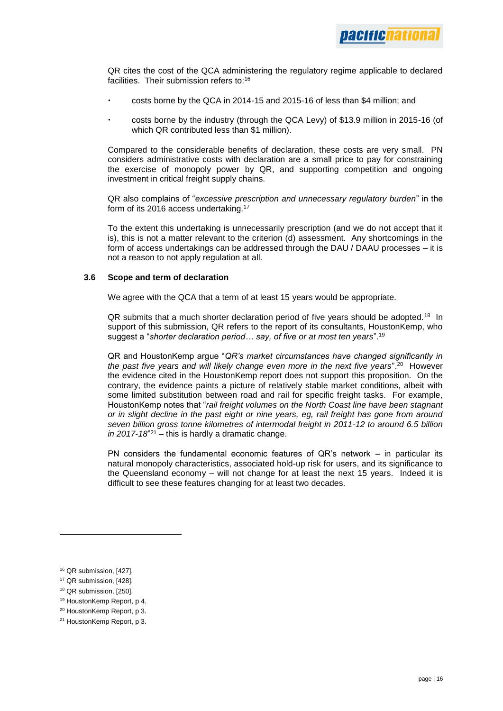QR cites the cost of the QCA administering the regulatory regime applicable to declared facilities. Their submission refers to:<sup>16</sup>

- costs borne by the QCA in 2014-15 and 2015-16 of less than \$4 million; and
- costs borne by the industry (through the QCA Levy) of \$13.9 million in 2015-16 (of which QR contributed less than \$1 million).

Compared to the considerable benefits of declaration, these costs are very small. PN considers administrative costs with declaration are a small price to pay for constraining the exercise of monopoly power by QR, and supporting competition and ongoing investment in critical freight supply chains.

QR also complains of "*excessive prescription and unnecessary regulatory burden*" in the form of its 2016 access undertaking.<sup>17</sup>

To the extent this undertaking is unnecessarily prescription (and we do not accept that it is), this is not a matter relevant to the criterion (d) assessment. Any shortcomings in the form of access undertakings can be addressed through the DAU / DAAU processes – it is not a reason to not apply regulation at all.

#### **3.6 Scope and term of declaration**

We agree with the QCA that a term of at least 15 years would be appropriate.

QR submits that a much shorter declaration period of five years should be adopted.<sup>18</sup> In support of this submission, QR refers to the report of its consultants, HoustonKemp, who suggest a "*shorter declaration period… say, of five or at most ten years*".<sup>19</sup>

QR and HoustonKemp argue "*QR's market circumstances have changed significantly in the past five years and will likely change even more in the next five years*".<sup>20</sup> However the evidence cited in the HoustonKemp report does not support this proposition. On the contrary, the evidence paints a picture of relatively stable market conditions, albeit with some limited substitution between road and rail for specific freight tasks. For example, HoustonKemp notes that "*rail freight volumes on the North Coast line have been stagnant or in slight decline in the past eight or nine years, eg, rail freight has gone from around seven billion gross tonne kilometres of intermodal freight in 2011-12 to around 6.5 billion*   $\ln 2017 - 18^{\nu_{21}} - \text{this is hardly a dramatic change.}$ 

PN considers the fundamental economic features of QR's network – in particular its natural monopoly characteristics, associated hold-up risk for users, and its significance to the Queensland economy – will not change for at least the next 15 years. Indeed it is difficult to see these features changing for at least two decades.

- <sup>18</sup> QR submission, [250].
- <sup>19</sup> HoustonKemp Report, p 4.
- <sup>20</sup> HoustonKemp Report, p 3.

<sup>16</sup> QR submission, [427].

<sup>&</sup>lt;sup>17</sup> QR submission, [428].

<sup>&</sup>lt;sup>21</sup> HoustonKemp Report, p 3.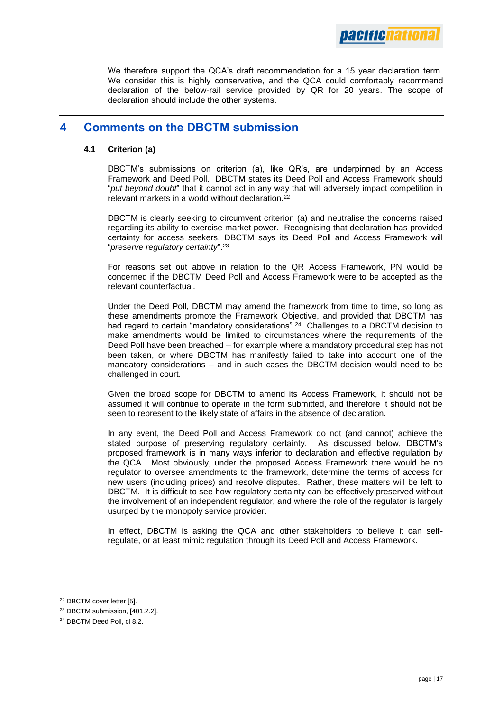*Dacificnatio* 

We therefore support the QCA's draft recommendation for a 15 year declaration term. We consider this is highly conservative, and the QCA could comfortably recommend declaration of the below-rail service provided by QR for 20 years. The scope of declaration should include the other systems.

# **4 Comments on the DBCTM submission**

#### **4.1 Criterion (a)**

DBCTM's submissions on criterion (a), like QR's, are underpinned by an Access Framework and Deed Poll. DBCTM states its Deed Poll and Access Framework should "*put beyond doubt*" that it cannot act in any way that will adversely impact competition in relevant markets in a world without declaration.<sup>22</sup>

DBCTM is clearly seeking to circumvent criterion (a) and neutralise the concerns raised regarding its ability to exercise market power. Recognising that declaration has provided certainty for access seekers, DBCTM says its Deed Poll and Access Framework will "*preserve regulatory certainty*".<sup>23</sup>

For reasons set out above in relation to the QR Access Framework, PN would be concerned if the DBCTM Deed Poll and Access Framework were to be accepted as the relevant counterfactual.

Under the Deed Poll, DBCTM may amend the framework from time to time, so long as these amendments promote the Framework Objective, and provided that DBCTM has had regard to certain "mandatory considerations".<sup>24</sup> Challenges to a DBCTM decision to make amendments would be limited to circumstances where the requirements of the Deed Poll have been breached – for example where a mandatory procedural step has not been taken, or where DBCTM has manifestly failed to take into account one of the mandatory considerations – and in such cases the DBCTM decision would need to be challenged in court.

Given the broad scope for DBCTM to amend its Access Framework, it should not be assumed it will continue to operate in the form submitted, and therefore it should not be seen to represent to the likely state of affairs in the absence of declaration.

In any event, the Deed Poll and Access Framework do not (and cannot) achieve the stated purpose of preserving regulatory certainty. As discussed below, DBCTM's proposed framework is in many ways inferior to declaration and effective regulation by the QCA. Most obviously, under the proposed Access Framework there would be no regulator to oversee amendments to the framework, determine the terms of access for new users (including prices) and resolve disputes. Rather, these matters will be left to DBCTM. It is difficult to see how regulatory certainty can be effectively preserved without the involvement of an independent regulator, and where the role of the regulator is largely usurped by the monopoly service provider.

In effect, DBCTM is asking the QCA and other stakeholders to believe it can selfregulate, or at least mimic regulation through its Deed Poll and Access Framework.

<sup>22</sup> DBCTM cover letter [5].

<sup>23</sup> DBCTM submission, [401.2.2].

<sup>&</sup>lt;sup>24</sup> DBCTM Deed Poll, cl 8.2.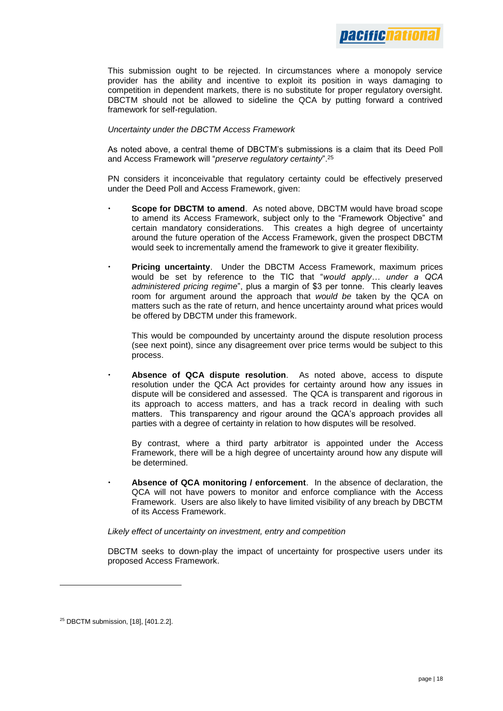This submission ought to be rejected. In circumstances where a monopoly service provider has the ability and incentive to exploit its position in ways damaging to competition in dependent markets, there is no substitute for proper regulatory oversight. DBCTM should not be allowed to sideline the QCA by putting forward a contrived framework for self-regulation.

#### *Uncertainty under the DBCTM Access Framework*

As noted above, a central theme of DBCTM's submissions is a claim that its Deed Poll and Access Framework will "*preserve regulatory certainty*".<sup>25</sup>

PN considers it inconceivable that regulatory certainty could be effectively preserved under the Deed Poll and Access Framework, given:

- **Scope for DBCTM to amend**. As noted above, DBCTM would have broad scope to amend its Access Framework, subject only to the "Framework Objective" and certain mandatory considerations. This creates a high degree of uncertainty around the future operation of the Access Framework, given the prospect DBCTM would seek to incrementally amend the framework to give it greater flexibility.
- **Pricing uncertainty**. Under the DBCTM Access Framework, maximum prices would be set by reference to the TIC that "*would apply… under a QCA administered pricing regime*", plus a margin of \$3 per tonne. This clearly leaves room for argument around the approach that *would be* taken by the QCA on matters such as the rate of return, and hence uncertainty around what prices would be offered by DBCTM under this framework.

This would be compounded by uncertainty around the dispute resolution process (see next point), since any disagreement over price terms would be subject to this process.

 **Absence of QCA dispute resolution**. As noted above, access to dispute resolution under the QCA Act provides for certainty around how any issues in dispute will be considered and assessed. The QCA is transparent and rigorous in its approach to access matters, and has a track record in dealing with such matters. This transparency and rigour around the QCA's approach provides all parties with a degree of certainty in relation to how disputes will be resolved.

By contrast, where a third party arbitrator is appointed under the Access Framework, there will be a high degree of uncertainty around how any dispute will be determined.

 **Absence of QCA monitoring / enforcement**. In the absence of declaration, the QCA will not have powers to monitor and enforce compliance with the Access Framework. Users are also likely to have limited visibility of any breach by DBCTM of its Access Framework.

#### *Likely effect of uncertainty on investment, entry and competition*

DBCTM seeks to down-play the impact of uncertainty for prospective users under its proposed Access Framework.

<sup>25</sup> DBCTM submission, [18], [401.2.2].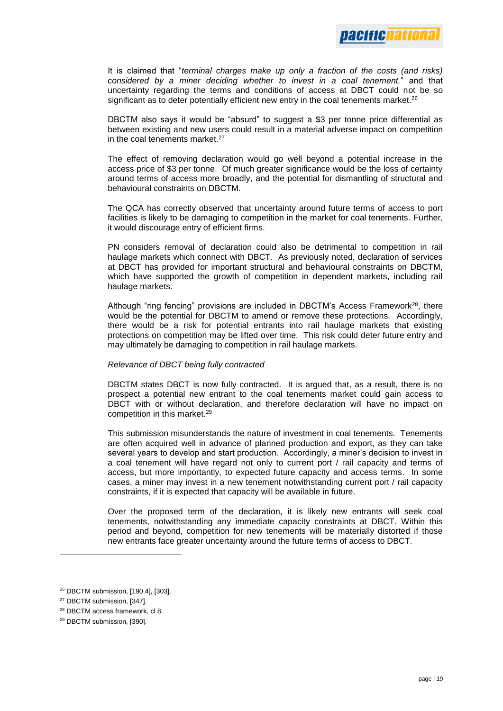

It is claimed that "*terminal charges make up only a fraction of the costs (and risks) considered by a miner deciding whether to invest in a coal tenement.*" and that uncertainty regarding the terms and conditions of access at DBCT could not be so significant as to deter potentially efficient new entry in the coal tenements market.<sup>26</sup>

DBCTM also says it would be "absurd" to suggest a \$3 per tonne price differential as between existing and new users could result in a material adverse impact on competition in the coal tenements market.<sup>27</sup>

The effect of removing declaration would go well beyond a potential increase in the access price of \$3 per tonne. Of much greater significance would be the loss of certainty around terms of access more broadly, and the potential for dismantling of structural and behavioural constraints on DBCTM.

The QCA has correctly observed that uncertainty around future terms of access to port facilities is likely to be damaging to competition in the market for coal tenements. Further, it would discourage entry of efficient firms.

PN considers removal of declaration could also be detrimental to competition in rail haulage markets which connect with DBCT. As previously noted, declaration of services at DBCT has provided for important structural and behavioural constraints on DBCTM, which have supported the growth of competition in dependent markets, including rail haulage markets.

Although "ring fencing" provisions are included in DBCTM's Access Framework<sup>28</sup>, there would be the potential for DBCTM to amend or remove these protections. Accordingly, there would be a risk for potential entrants into rail haulage markets that existing protections on competition may be lifted over time. This risk could deter future entry and may ultimately be damaging to competition in rail haulage markets.

#### *Relevance of DBCT being fully contracted*

DBCTM states DBCT is now fully contracted. It is argued that, as a result, there is no prospect a potential new entrant to the coal tenements market could gain access to DBCT with or without declaration, and therefore declaration will have no impact on competition in this market.<sup>29</sup>

This submission misunderstands the nature of investment in coal tenements. Tenements are often acquired well in advance of planned production and export, as they can take several years to develop and start production. Accordingly, a miner's decision to invest in a coal tenement will have regard not only to current port / rail capacity and terms of access, but more importantly, to expected future capacity and access terms. In some cases, a miner may invest in a new tenement notwithstanding current port / rail capacity constraints, if it is expected that capacity will be available in future.

Over the proposed term of the declaration, it is likely new entrants will seek coal tenements, notwithstanding any immediate capacity constraints at DBCT. Within this period and beyond, competition for new tenements will be materially distorted if those new entrants face greater uncertainty around the future terms of access to DBCT.

<sup>26</sup> DBCTM submission, [190.4], [303].

<sup>27</sup> DBCTM submission, [347].

<sup>28</sup> DBCTM access framework, cl 8.

<sup>29</sup> DBCTM submission, [390].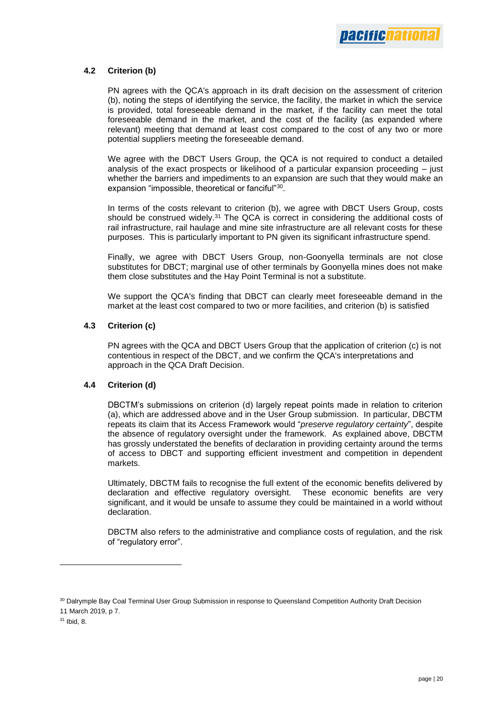

#### **4.2 Criterion (b)**

PN agrees with the QCA's approach in its draft decision on the assessment of criterion (b), noting the steps of identifying the service, the facility, the market in which the service is provided, total foreseeable demand in the market, if the facility can meet the total foreseeable demand in the market, and the cost of the facility (as expanded where relevant) meeting that demand at least cost compared to the cost of any two or more potential suppliers meeting the foreseeable demand.

We agree with the DBCT Users Group, the QCA is not required to conduct a detailed analysis of the exact prospects or likelihood of a particular expansion proceeding – just whether the barriers and impediments to an expansion are such that they would make an expansion "impossible, theoretical or fanciful"30.

In terms of the costs relevant to criterion (b), we agree with DBCT Users Group, costs should be construed widely.<sup>31</sup> The QCA is correct in considering the additional costs of rail infrastructure, rail haulage and mine site infrastructure are all relevant costs for these purposes. This is particularly important to PN given its significant infrastructure spend.

Finally, we agree with DBCT Users Group, non-Goonyella terminals are not close substitutes for DBCT; marginal use of other terminals by Goonyella mines does not make them close substitutes and the Hay Point Terminal is not a substitute.

We support the QCA's finding that DBCT can clearly meet foreseeable demand in the market at the least cost compared to two or more facilities, and criterion (b) is satisfied

#### **4.3 Criterion (c)**

PN agrees with the QCA and DBCT Users Group that the application of criterion (c) is not contentious in respect of the DBCT, and we confirm the QCA's interpretations and approach in the QCA Draft Decision.

#### **4.4 Criterion (d)**

DBCTM's submissions on criterion (d) largely repeat points made in relation to criterion (a), which are addressed above and in the User Group submission. In particular, DBCTM repeats its claim that its Access Framework would "*preserve regulatory certainty*", despite the absence of regulatory oversight under the framework. As explained above, DBCTM has grossly understated the benefits of declaration in providing certainty around the terms of access to DBCT and supporting efficient investment and competition in dependent markets.

Ultimately, DBCTM fails to recognise the full extent of the economic benefits delivered by declaration and effective regulatory oversight. These economic benefits are very significant, and it would be unsafe to assume they could be maintained in a world without declaration.

DBCTM also refers to the administrative and compliance costs of regulation, and the risk of "regulatory error".

<sup>30</sup> Dalrymple Bay Coal Terminal User Group Submission in response to Queensland Competition Authority Draft Decision

<sup>11</sup> March 2019, p 7.

<sup>31</sup> Ibid, 8.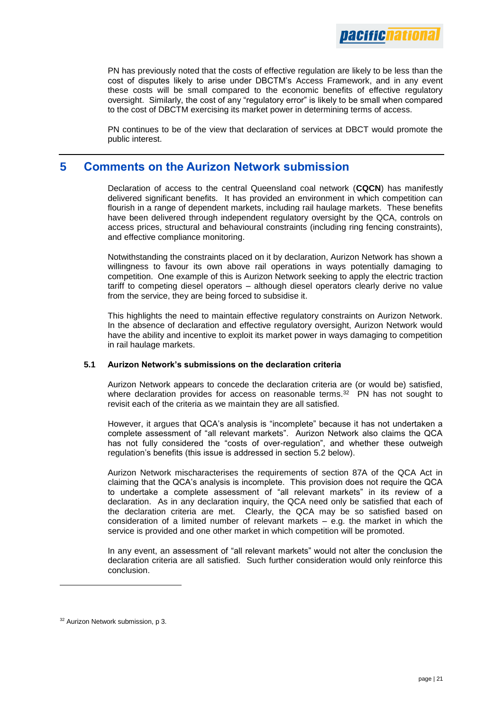

PN has previously noted that the costs of effective regulation are likely to be less than the cost of disputes likely to arise under DBCTM's Access Framework, and in any event these costs will be small compared to the economic benefits of effective regulatory oversight. Similarly, the cost of any "regulatory error" is likely to be small when compared to the cost of DBCTM exercising its market power in determining terms of access.

PN continues to be of the view that declaration of services at DBCT would promote the public interest.

# **5 Comments on the Aurizon Network submission**

Declaration of access to the central Queensland coal network (**CQCN**) has manifestly delivered significant benefits. It has provided an environment in which competition can flourish in a range of dependent markets, including rail haulage markets. These benefits have been delivered through independent regulatory oversight by the QCA, controls on access prices, structural and behavioural constraints (including ring fencing constraints), and effective compliance monitoring.

Notwithstanding the constraints placed on it by declaration, Aurizon Network has shown a willingness to favour its own above rail operations in ways potentially damaging to competition. One example of this is Aurizon Network seeking to apply the electric traction tariff to competing diesel operators – although diesel operators clearly derive no value from the service, they are being forced to subsidise it.

This highlights the need to maintain effective regulatory constraints on Aurizon Network. In the absence of declaration and effective regulatory oversight, Aurizon Network would have the ability and incentive to exploit its market power in ways damaging to competition in rail haulage markets.

#### **5.1 Aurizon Network's submissions on the declaration criteria**

Aurizon Network appears to concede the declaration criteria are (or would be) satisfied, where declaration provides for access on reasonable terms. $32$  PN has not sought to revisit each of the criteria as we maintain they are all satisfied.

However, it argues that QCA's analysis is "incomplete" because it has not undertaken a complete assessment of "all relevant markets". Aurizon Network also claims the QCA has not fully considered the "costs of over-regulation", and whether these outweigh regulation's benefits (this issue is addressed in section 5.2 below).

Aurizon Network mischaracterises the requirements of section 87A of the QCA Act in claiming that the QCA's analysis is incomplete. This provision does not require the QCA to undertake a complete assessment of "all relevant markets" in its review of a declaration. As in any declaration inquiry, the QCA need only be satisfied that each of the declaration criteria are met. Clearly, the QCA may be so satisfied based on consideration of a limited number of relevant markets  $-$  e.g. the market in which the service is provided and one other market in which competition will be promoted.

In any event, an assessment of "all relevant markets" would not alter the conclusion the declaration criteria are all satisfied. Such further consideration would only reinforce this conclusion.

<sup>&</sup>lt;sup>32</sup> Aurizon Network submission, p 3.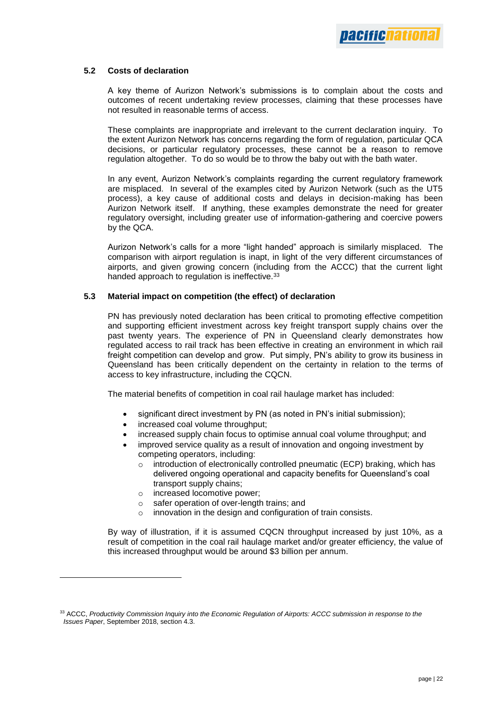#### **5.2 Costs of declaration**

A key theme of Aurizon Network's submissions is to complain about the costs and outcomes of recent undertaking review processes, claiming that these processes have not resulted in reasonable terms of access.

These complaints are inappropriate and irrelevant to the current declaration inquiry. To the extent Aurizon Network has concerns regarding the form of regulation, particular QCA decisions, or particular regulatory processes, these cannot be a reason to remove regulation altogether. To do so would be to throw the baby out with the bath water.

In any event, Aurizon Network's complaints regarding the current regulatory framework are misplaced. In several of the examples cited by Aurizon Network (such as the UT5 process), a key cause of additional costs and delays in decision-making has been Aurizon Network itself. If anything, these examples demonstrate the need for greater regulatory oversight, including greater use of information-gathering and coercive powers by the QCA.

Aurizon Network's calls for a more "light handed" approach is similarly misplaced. The comparison with airport regulation is inapt, in light of the very different circumstances of airports, and given growing concern (including from the ACCC) that the current light handed approach to regulation is ineffective.<sup>33</sup>

#### **5.3 Material impact on competition (the effect) of declaration**

PN has previously noted declaration has been critical to promoting effective competition and supporting efficient investment across key freight transport supply chains over the past twenty years. The experience of PN in Queensland clearly demonstrates how regulated access to rail track has been effective in creating an environment in which rail freight competition can develop and grow. Put simply, PN's ability to grow its business in Queensland has been critically dependent on the certainty in relation to the terms of access to key infrastructure, including the CQCN.

The material benefits of competition in coal rail haulage market has included:

- significant direct investment by PN (as noted in PN's initial submission);
- increased coal volume throughput:
- increased supply chain focus to optimise annual coal volume throughput; and
- improved service quality as a result of innovation and ongoing investment by competing operators, including:
	- $\circ$  introduction of electronically controlled pneumatic (ECP) braking, which has delivered ongoing operational and capacity benefits for Queensland's coal transport supply chains;
	- o increased locomotive power;

l

- o safer operation of over-length trains; and
- o innovation in the design and configuration of train consists.

By way of illustration, if it is assumed CQCN throughput increased by just 10%, as a result of competition in the coal rail haulage market and/or greater efficiency, the value of this increased throughput would be around \$3 billion per annum.

<sup>33</sup> ACCC, *Productivity Commission Inquiry into the Economic Regulation of Airports: ACCC submission in response to the Issues Paper*, September 2018, section 4.3.